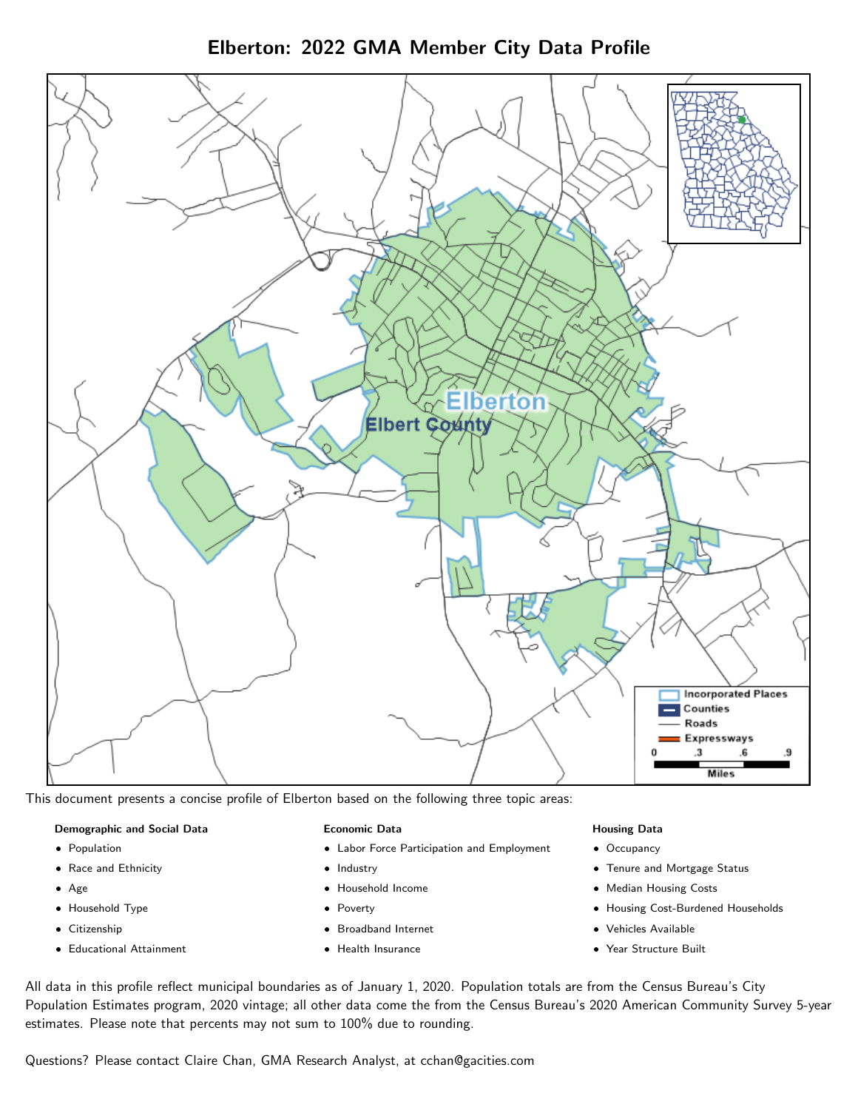Elberton: 2022 GMA Member City Data Profile



This document presents a concise profile of Elberton based on the following three topic areas:

#### Demographic and Social Data

- **•** Population
- Race and Ethnicity
- Age
- Household Type
- **Citizenship**
- Educational Attainment

#### Economic Data

- Labor Force Participation and Employment
- Industry
- Household Income
- Poverty
- Broadband Internet
- Health Insurance

#### Housing Data

- Occupancy
- Tenure and Mortgage Status
- Median Housing Costs
- Housing Cost-Burdened Households
- Vehicles Available
- Year Structure Built

All data in this profile reflect municipal boundaries as of January 1, 2020. Population totals are from the Census Bureau's City Population Estimates program, 2020 vintage; all other data come the from the Census Bureau's 2020 American Community Survey 5-year estimates. Please note that percents may not sum to 100% due to rounding.

Questions? Please contact Claire Chan, GMA Research Analyst, at [cchan@gacities.com.](mailto:cchan@gacities.com)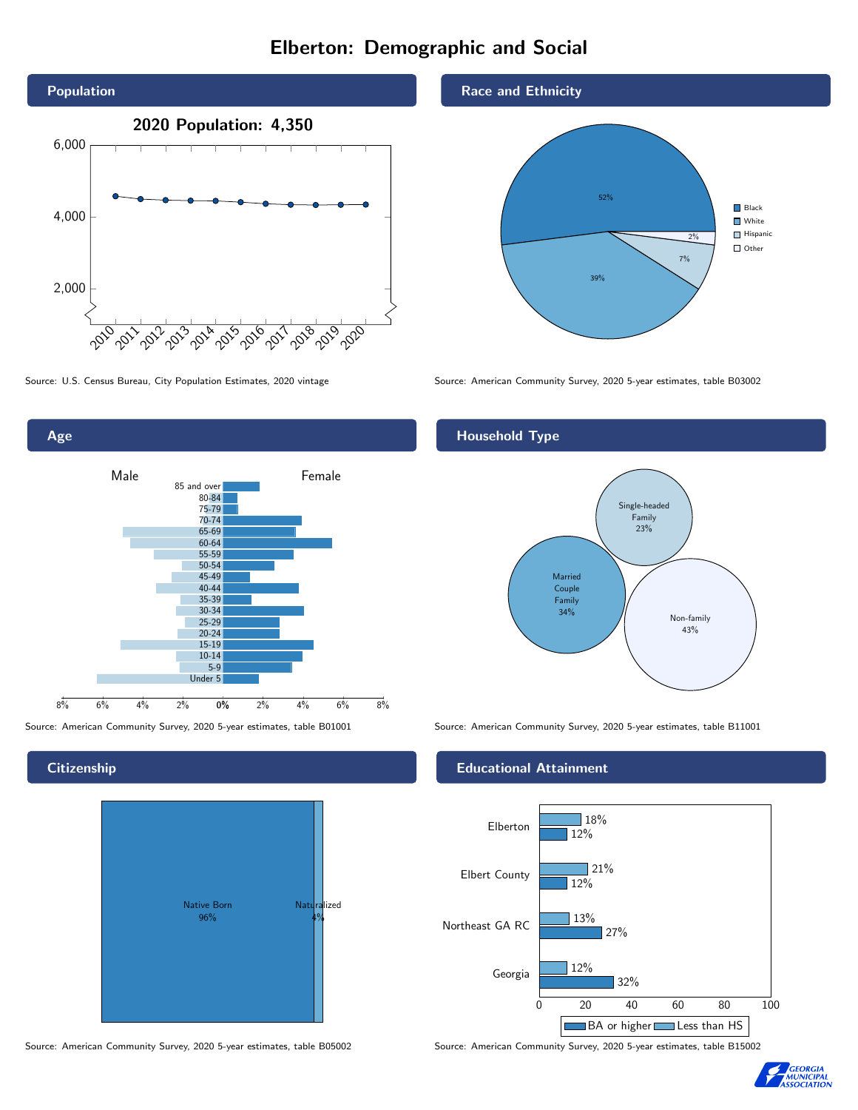# Elberton: Demographic and Social





**Citizenship** 



Race and Ethnicity



Source: U.S. Census Bureau, City Population Estimates, 2020 vintage Source: American Community Survey, 2020 5-year estimates, table B03002

## Household Type



Source: American Community Survey, 2020 5-year estimates, table B01001 Source: American Community Survey, 2020 5-year estimates, table B11001

### Educational Attainment



Source: American Community Survey, 2020 5-year estimates, table B05002 Source: American Community Survey, 2020 5-year estimates, table B15002

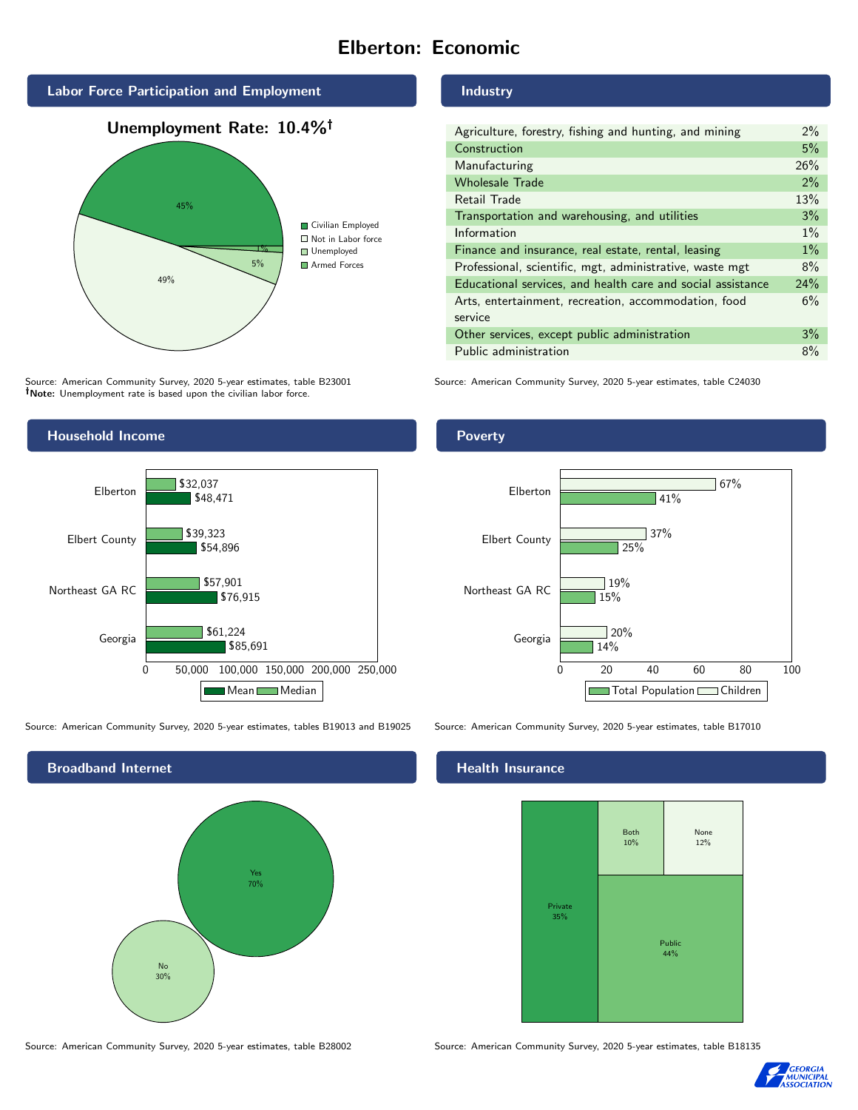# Elberton: Economic







Source: American Community Survey, 2020 5-year estimates, table B23001 Note: Unemployment rate is based upon the civilian labor force.

## Industry

| Agriculture, forestry, fishing and hunting, and mining      | $2\%$ |
|-------------------------------------------------------------|-------|
| Construction                                                | 5%    |
| Manufacturing                                               | 26%   |
| <b>Wholesale Trade</b>                                      | 2%    |
| Retail Trade                                                | 13%   |
| Transportation and warehousing, and utilities               | 3%    |
| Information                                                 | $1\%$ |
| Finance and insurance, real estate, rental, leasing         | $1\%$ |
| Professional, scientific, mgt, administrative, waste mgt    | 8%    |
| Educational services, and health care and social assistance | 24%   |
| Arts, entertainment, recreation, accommodation, food        | 6%    |
| service                                                     |       |
| Other services, except public administration                | 3%    |
| Public administration                                       | 8%    |

Source: American Community Survey, 2020 5-year estimates, table C24030



Source: American Community Survey, 2020 5-year estimates, tables B19013 and B19025 Source: American Community Survey, 2020 5-year estimates, table B17010



### Health Insurance



Source: American Community Survey, 2020 5-year estimates, table B28002 Source: American Community Survey, 2020 5-year estimates, table B18135



### Poverty